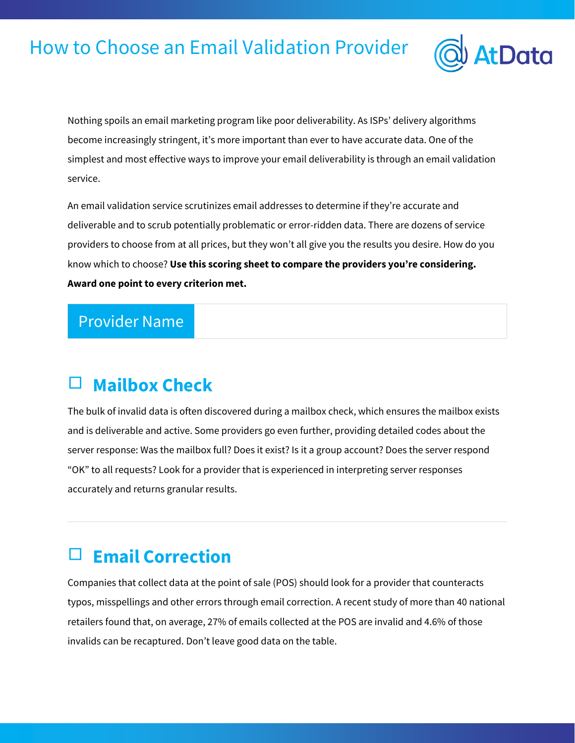# How to Choose an Email Validation Provider



Nothing spoils an email marketing program like poor deliverability. As ISPs' delivery algorithms become increasingly stringent, it's more important than ever to have accurate data. One of the simplest and most effective ways to improve your email deliverability is through an email validation service.

An email validation service scrutinizes email addresses to determine if they're accurate and deliverable and to scrub potentially problematic or error-ridden data. There are dozens of service providers to choose from at all prices, but they won't all give you the results you desire. How do you know which to choose? **Use this scoring sheet to compare the providers you're considering. Award one point to every criterion met.**

#### Provider Name

#### **Mailbox Check**

The bulk of invalid data is often discovered during a mailbox check, which ensures the mailbox exists and is deliverable and active. Some providers go even further, providing detailed codes about the server response: Was the mailbox full? Does it exist? Is it a group account? Does the server respond "OK" to all requests? Look for a provider that is experienced in interpreting server responses accurately and returns granular results.

#### □ **Email Correction**

Companies that collect data at the point of sale (POS) should look for a provider that counteracts typos, misspellings and other errors through email correction. A recent study of more than 40 national retailers found that, on average, 27% of emails collected at the POS are invalid and 4.6% of those invalids can be recaptured. Don't leave good data on the table.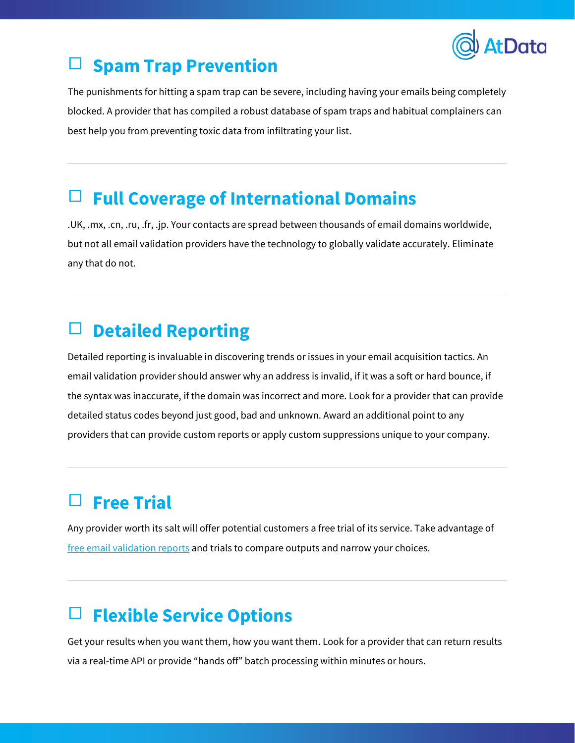

# □ **Spam Trap Prevention**

The punishments for hitting a spam trap can be severe, including having your emails being completely blocked. A provider that has compiled a robust database of spam traps and habitual complainers can best help you from preventing toxic data from infiltrating your list.

#### □ **Full Coverage of International Domains**

.UK, .mx, .cn, .ru, .fr, .jp. Your contacts are spread between thousands of email domains worldwide, but not all email validation providers have the technology to globally validate accurately. Eliminate any that do not.

# □ **Detailed Reporting**

Detailed reporting is invaluable in discovering trends or issues in your email acquisition tactics. An email validation provider should answer why an address is invalid, if it was a soft or hard bounce, if the syntax was inaccurate, if the domain was incorrect and more. Look for a provider that can provide detailed status codes beyond just good, bad and unknown. Award an additional point to any providers that can provide custom reports or apply custom suppressions unique to your company.

# **Free Trial**

Any provider worth its salt will offer potential customers a free trial of its service. Take advantage of [free email validation reports](http://info.towerdata.com/free-email-validation-test) and trials to compare outputs and narrow your choices.

# □ **Flexible Service Options**

Get your results when you want them, how you want them. Look for a provider that can return results via a real-time API or provide "hands off" batch processing within minutes or hours.